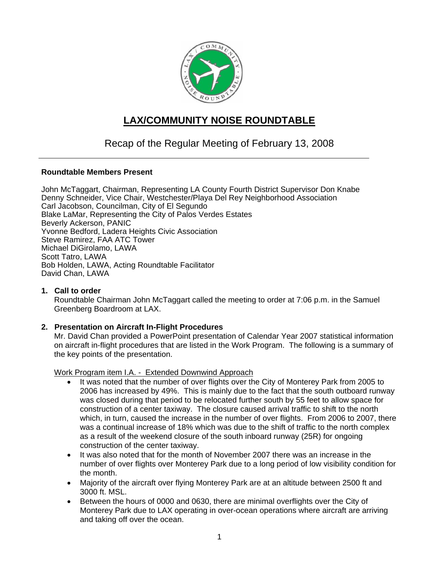

# **LAX/COMMUNITY NOISE ROUNDTABLE**

# Recap of the Regular Meeting of February 13, 2008

#### **Roundtable Members Present**

John McTaggart, Chairman, Representing LA County Fourth District Supervisor Don Knabe Denny Schneider, Vice Chair, Westchester/Playa Del Rey Neighborhood Association Carl Jacobson, Councilman, City of El Segundo Blake LaMar, Representing the City of Palos Verdes Estates Beverly Ackerson, PANIC Yvonne Bedford, Ladera Heights Civic Association Steve Ramirez, FAA ATC Tower Michael DiGirolamo, LAWA Scott Tatro, LAWA Bob Holden, LAWA, Acting Roundtable Facilitator David Chan, LAWA

#### **1. Call to order**

Roundtable Chairman John McTaggart called the meeting to order at 7:06 p.m. in the Samuel Greenberg Boardroom at LAX.

#### **2. Presentation on Aircraft In-Flight Procedures**

Mr. David Chan provided a PowerPoint presentation of Calendar Year 2007 statistical information on aircraft in-flight procedures that are listed in the Work Program. The following is a summary of the key points of the presentation.

Work Program item I.A. - Extended Downwind Approach

- It was noted that the number of over flights over the City of Monterey Park from 2005 to 2006 has increased by 49%. This is mainly due to the fact that the south outboard runway was closed during that period to be relocated further south by 55 feet to allow space for construction of a center taxiway. The closure caused arrival traffic to shift to the north which, in turn, caused the increase in the number of over flights. From 2006 to 2007, there was a continual increase of 18% which was due to the shift of traffic to the north complex as a result of the weekend closure of the south inboard runway (25R) for ongoing construction of the center taxiway.
- It was also noted that for the month of November 2007 there was an increase in the number of over flights over Monterey Park due to a long period of low visibility condition for the month.
- Majority of the aircraft over flying Monterey Park are at an altitude between 2500 ft and 3000 ft. MSL.
- Between the hours of 0000 and 0630, there are minimal overflights over the City of Monterey Park due to LAX operating in over-ocean operations where aircraft are arriving and taking off over the ocean.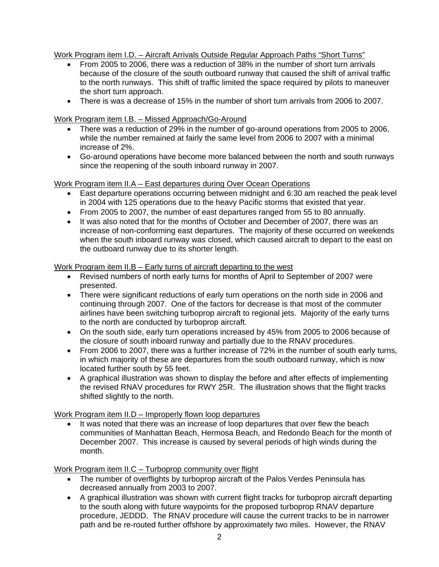Work Program item I.D. – Aircraft Arrivals Outside Regular Approach Paths "Short Turns"

- From 2005 to 2006, there was a reduction of 38% in the number of short turn arrivals because of the closure of the south outboard runway that caused the shift of arrival traffic to the north runways. This shift of traffic limited the space required by pilots to maneuver the short turn approach.
- There is was a decrease of 15% in the number of short turn arrivals from 2006 to 2007.

# Work Program item I.B. – Missed Approach/Go-Around

- There was a reduction of 29% in the number of go-around operations from 2005 to 2006, while the number remained at fairly the same level from 2006 to 2007 with a minimal increase of 2%.
- Go-around operations have become more balanced between the north and south runways since the reopening of the south inboard runway in 2007.

# Work Program item II.A – East departures during Over Ocean Operations

- East departure operations occurring between midnight and 6:30 am reached the peak level in 2004 with 125 operations due to the heavy Pacific storms that existed that year.
- From 2005 to 2007, the number of east departures ranged from 55 to 80 annually.
- It was also noted that for the months of October and December of 2007, there was an increase of non-conforming east departures. The majority of these occurred on weekends when the south inboard runway was closed, which caused aircraft to depart to the east on the outboard runway due to its shorter length.

# Work Program item II.B – Early turns of aircraft departing to the west

- Revised numbers of north early turns for months of April to September of 2007 were presented.
- There were significant reductions of early turn operations on the north side in 2006 and continuing through 2007. One of the factors for decrease is that most of the commuter airlines have been switching turboprop aircraft to regional jets. Majority of the early turns to the north are conducted by turboprop aircraft.
- On the south side, early turn operations increased by 45% from 2005 to 2006 because of the closure of south inboard runway and partially due to the RNAV procedures.
- From 2006 to 2007, there was a further increase of 72% in the number of south early turns, in which majority of these are departures from the south outboard runway, which is now located further south by 55 feet.
- A graphical illustration was shown to display the before and after effects of implementing the revised RNAV procedures for RWY 25R. The illustration shows that the flight tracks shifted slightly to the north.

Work Program item II.D – Improperly flown loop departures

It was noted that there was an increase of loop departures that over flew the beach communities of Manhattan Beach, Hermosa Beach, and Redondo Beach for the month of December 2007. This increase is caused by several periods of high winds during the month.

Work Program item II.C – Turboprop community over flight

- The number of overflights by turboprop aircraft of the Palos Verdes Peninsula has decreased annually from 2003 to 2007.
- A graphical illustration was shown with current flight tracks for turboprop aircraft departing to the south along with future waypoints for the proposed turboprop RNAV departure procedure, JEDDD. The RNAV procedure will cause the current tracks to be in narrower path and be re-routed further offshore by approximately two miles. However, the RNAV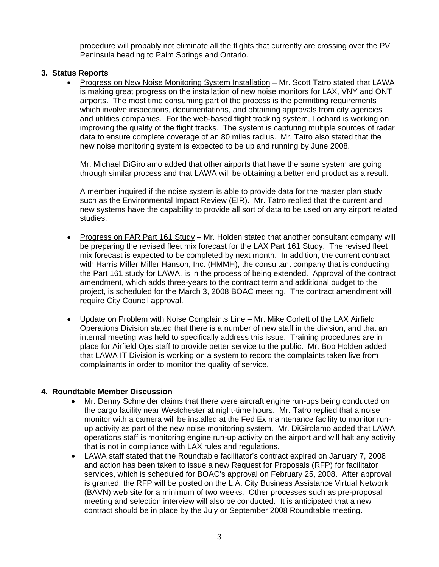procedure will probably not eliminate all the flights that currently are crossing over the PV Peninsula heading to Palm Springs and Ontario.

# **3. Status Reports**

• Progress on New Noise Monitoring System Installation – Mr. Scott Tatro stated that LAWA is making great progress on the installation of new noise monitors for LAX, VNY and ONT airports. The most time consuming part of the process is the permitting requirements which involve inspections, documentations, and obtaining approvals from city agencies and utilities companies. For the web-based flight tracking system, Lochard is working on improving the quality of the flight tracks. The system is capturing multiple sources of radar data to ensure complete coverage of an 80 miles radius. Mr. Tatro also stated that the new noise monitoring system is expected to be up and running by June 2008.

Mr. Michael DiGirolamo added that other airports that have the same system are going through similar process and that LAWA will be obtaining a better end product as a result.

A member inquired if the noise system is able to provide data for the master plan study such as the Environmental Impact Review (EIR). Mr. Tatro replied that the current and new systems have the capability to provide all sort of data to be used on any airport related studies.

- Progress on FAR Part 161 Study Mr. Holden stated that another consultant company will be preparing the revised fleet mix forecast for the LAX Part 161 Study. The revised fleet mix forecast is expected to be completed by next month. In addition, the current contract with Harris Miller Miller Hanson, Inc. (HMMH), the consultant company that is conducting the Part 161 study for LAWA, is in the process of being extended. Approval of the contract amendment, which adds three-years to the contract term and additional budget to the project, is scheduled for the March 3, 2008 BOAC meeting. The contract amendment will require City Council approval.
- Update on Problem with Noise Complaints Line Mr. Mike Corlett of the LAX Airfield Operations Division stated that there is a number of new staff in the division, and that an internal meeting was held to specifically address this issue. Training procedures are in place for Airfield Ops staff to provide better service to the public. Mr. Bob Holden added that LAWA IT Division is working on a system to record the complaints taken live from complainants in order to monitor the quality of service.

# **4. Roundtable Member Discussion**

- Mr. Denny Schneider claims that there were aircraft engine run-ups being conducted on the cargo facility near Westchester at night-time hours. Mr. Tatro replied that a noise monitor with a camera will be installed at the Fed Ex maintenance facility to monitor runup activity as part of the new noise monitoring system. Mr. DiGirolamo added that LAWA operations staff is monitoring engine run-up activity on the airport and will halt any activity that is not in compliance with LAX rules and regulations.
- LAWA staff stated that the Roundtable facilitator's contract expired on January 7, 2008 and action has been taken to issue a new Request for Proposals (RFP) for facilitator services, which is scheduled for BOAC's approval on February 25, 2008. After approval is granted, the RFP will be posted on the L.A. City Business Assistance Virtual Network (BAVN) web site for a minimum of two weeks. Other processes such as pre-proposal meeting and selection interview will also be conducted. It is anticipated that a new contract should be in place by the July or September 2008 Roundtable meeting.